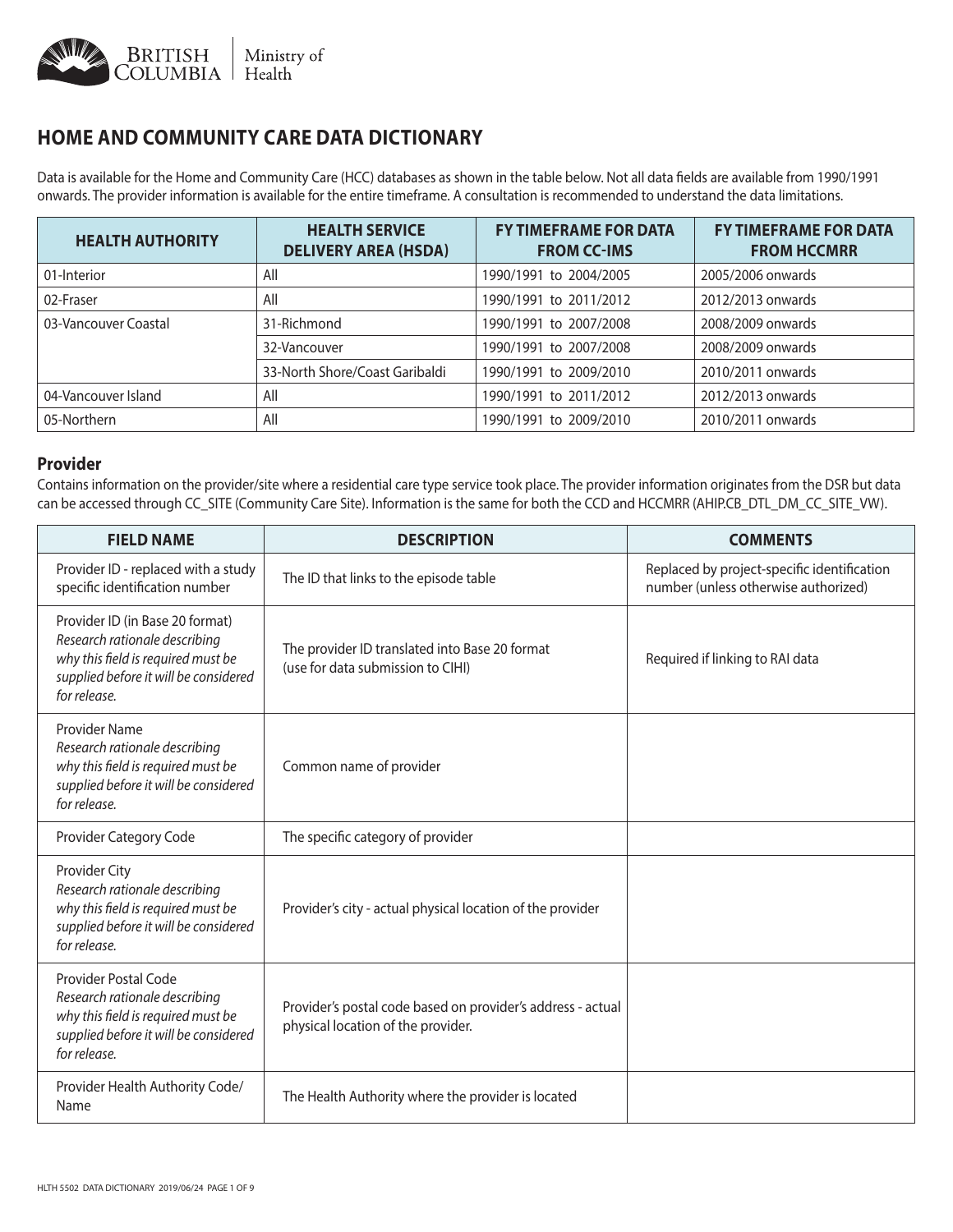

# **HOME AND COMMUNITY CARE DATA DICTIONARY**

Data is available for the Home and Community Care (HCC) databases as shown in the table below. Not all data fields are available from 1990/1991 onwards. The provider information is available for the entire timeframe. A consultation is recommended to understand the data limitations.

| <b>HEALTH AUTHORITY</b> | <b>HEALTH SERVICE</b><br><b>DELIVERY AREA (HSDA)</b> | <b>FY TIMEFRAME FOR DATA</b><br><b>FROM CC-IMS</b> | <b>FY TIMEFRAME FOR DATA</b><br><b>FROM HCCMRR</b> |
|-------------------------|------------------------------------------------------|----------------------------------------------------|----------------------------------------------------|
| 01-Interior             | All                                                  | 1990/1991 to 2004/2005                             | 2005/2006 onwards                                  |
| 02-Fraser               | All                                                  | 1990/1991 to 2011/2012                             | 2012/2013 onwards                                  |
| 03-Vancouver Coastal    | 31-Richmond                                          | 1990/1991 to 2007/2008                             | 2008/2009 onwards                                  |
|                         | 32-Vancouver                                         | 1990/1991 to 2007/2008                             | 2008/2009 onwards                                  |
|                         | 33-North Shore/Coast Garibaldi                       | 1990/1991 to 2009/2010                             | 2010/2011 onwards                                  |
| 04-Vancouver Island     | All                                                  | 1990/1991 to 2011/2012                             | 2012/2013 onwards                                  |
| 05-Northern             | All                                                  | 1990/1991 to 2009/2010                             | 2010/2011 onwards                                  |

#### **Provider**

Contains information on the provider/site where a residential care type service took place. The provider information originates from the DSR but data can be accessed through CC\_SITE (Community Care Site). Information is the same for both the CCD and HCCMRR (AHIP.CB\_DTL\_DM\_CC\_SITE\_VW).

| <b>FIELD NAME</b>                                                                                                                                               | <b>DESCRIPTION</b>                                                                                | <b>COMMENTS</b>                                                                     |
|-----------------------------------------------------------------------------------------------------------------------------------------------------------------|---------------------------------------------------------------------------------------------------|-------------------------------------------------------------------------------------|
| Provider ID - replaced with a study<br>specific identification number                                                                                           | The ID that links to the episode table                                                            | Replaced by project-specific identification<br>number (unless otherwise authorized) |
| Provider ID (in Base 20 format)<br>Research rationale describing<br>why this field is required must be<br>supplied before it will be considered<br>for release. | The provider ID translated into Base 20 format<br>(use for data submission to CIHI)               | Required if linking to RAI data                                                     |
| Provider Name<br>Research rationale describing<br>why this field is required must be<br>supplied before it will be considered<br>for release.                   | Common name of provider                                                                           |                                                                                     |
| Provider Category Code                                                                                                                                          | The specific category of provider                                                                 |                                                                                     |
| Provider City<br>Research rationale describing<br>why this field is required must be<br>supplied before it will be considered<br>for release.                   | Provider's city - actual physical location of the provider                                        |                                                                                     |
| <b>Provider Postal Code</b><br>Research rationale describing<br>why this field is required must be<br>supplied before it will be considered<br>for release.     | Provider's postal code based on provider's address - actual<br>physical location of the provider. |                                                                                     |
| Provider Health Authority Code/<br>Name                                                                                                                         | The Health Authority where the provider is located                                                |                                                                                     |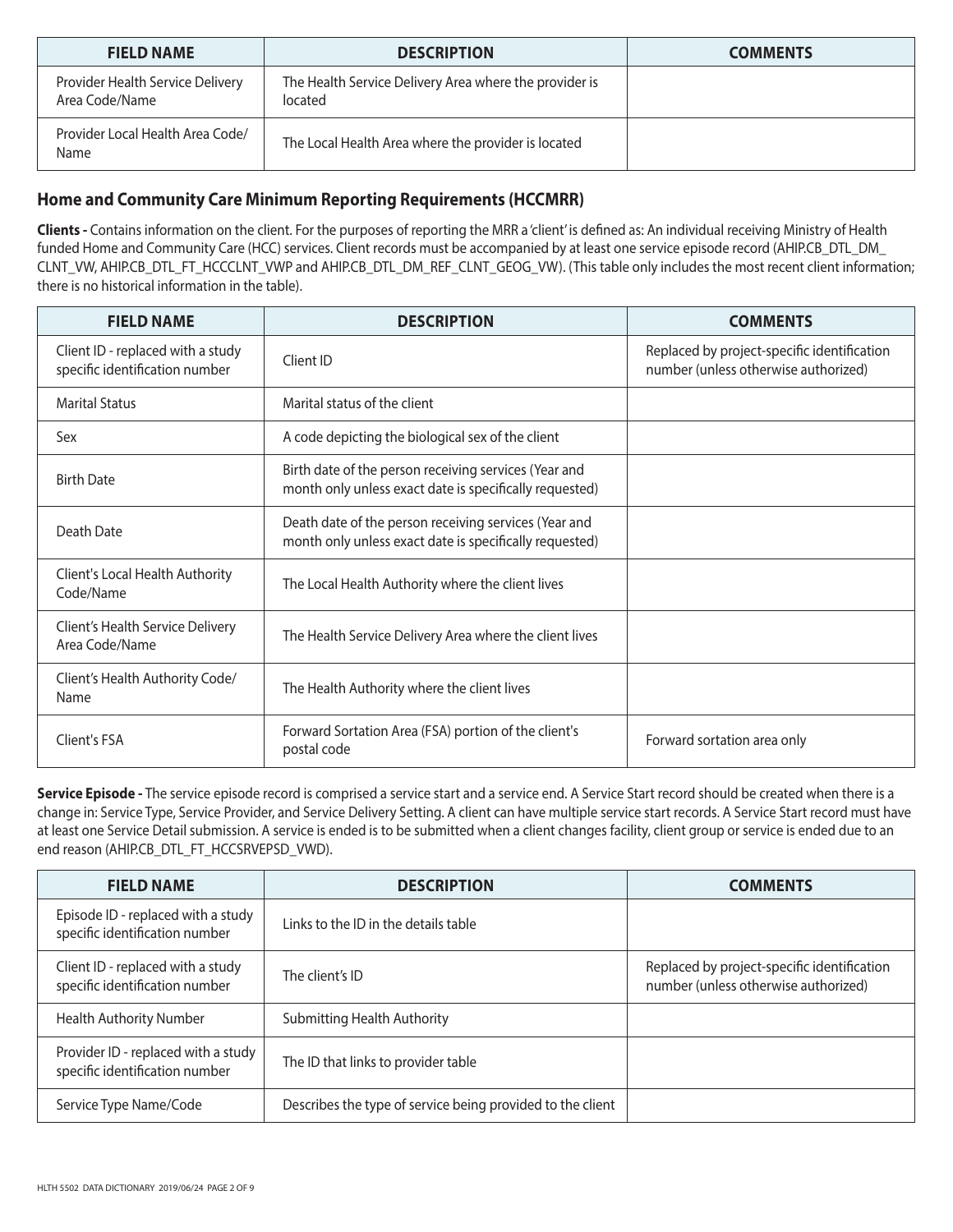| <b>FIELD NAME</b>                                  | <b>DESCRIPTION</b>                                                | <b>COMMENTS</b> |
|----------------------------------------------------|-------------------------------------------------------------------|-----------------|
| Provider Health Service Delivery<br>Area Code/Name | The Health Service Delivery Area where the provider is<br>located |                 |
| Provider Local Health Area Code/<br>Name           | The Local Health Area where the provider is located               |                 |

### **Home and Community Care Minimum Reporting Requirements (HCCMRR)**

**Clients -** Contains information on the client. For the purposes of reporting the MRR a 'client' is defined as: An individual receiving Ministry of Health funded Home and Community Care (HCC) services. Client records must be accompanied by at least one service episode record (AHIP.CB\_DTL\_DM\_ CLNT\_VW, AHIP.CB\_DTL\_FT\_HCCCLNT\_VWP and AHIP.CB\_DTL\_DM\_REF\_CLNT\_GEOG\_VW). (This table only includes the most recent client information; there is no historical information in the table).

| <b>FIELD NAME</b>                                                   | <b>DESCRIPTION</b>                                                                                               | <b>COMMENTS</b>                                                                     |
|---------------------------------------------------------------------|------------------------------------------------------------------------------------------------------------------|-------------------------------------------------------------------------------------|
| Client ID - replaced with a study<br>specific identification number | Client ID                                                                                                        | Replaced by project-specific identification<br>number (unless otherwise authorized) |
| <b>Marital Status</b>                                               | Marital status of the client                                                                                     |                                                                                     |
| Sex                                                                 | A code depicting the biological sex of the client                                                                |                                                                                     |
| <b>Birth Date</b>                                                   | Birth date of the person receiving services (Year and<br>month only unless exact date is specifically requested) |                                                                                     |
| Death Date                                                          | Death date of the person receiving services (Year and<br>month only unless exact date is specifically requested) |                                                                                     |
| Client's Local Health Authority<br>Code/Name                        | The Local Health Authority where the client lives                                                                |                                                                                     |
| Client's Health Service Delivery<br>Area Code/Name                  | The Health Service Delivery Area where the client lives                                                          |                                                                                     |
| Client's Health Authority Code/<br>Name                             | The Health Authority where the client lives                                                                      |                                                                                     |
| Client's FSA                                                        | Forward Sortation Area (FSA) portion of the client's<br>postal code                                              | Forward sortation area only                                                         |

Service Episode - The service episode record is comprised a service start and a service end. A Service Start record should be created when there is a change in: Service Type, Service Provider, and Service Delivery Setting. A client can have multiple service start records. A Service Start record must have at least one Service Detail submission. A service is ended is to be submitted when a client changes facility, client group or service is ended due to an end reason (AHIP.CB\_DTL\_FT\_HCCSRVEPSD\_VWD).

| <b>FIELD NAME</b>                                                     | <b>DESCRIPTION</b>                                         | <b>COMMENTS</b>                                                                     |
|-----------------------------------------------------------------------|------------------------------------------------------------|-------------------------------------------------------------------------------------|
| Episode ID - replaced with a study<br>specific identification number  | Links to the ID in the details table                       |                                                                                     |
| Client ID - replaced with a study<br>specific identification number   | The client's ID                                            | Replaced by project-specific identification<br>number (unless otherwise authorized) |
| <b>Health Authority Number</b>                                        | <b>Submitting Health Authority</b>                         |                                                                                     |
| Provider ID - replaced with a study<br>specific identification number | The ID that links to provider table                        |                                                                                     |
| Service Type Name/Code                                                | Describes the type of service being provided to the client |                                                                                     |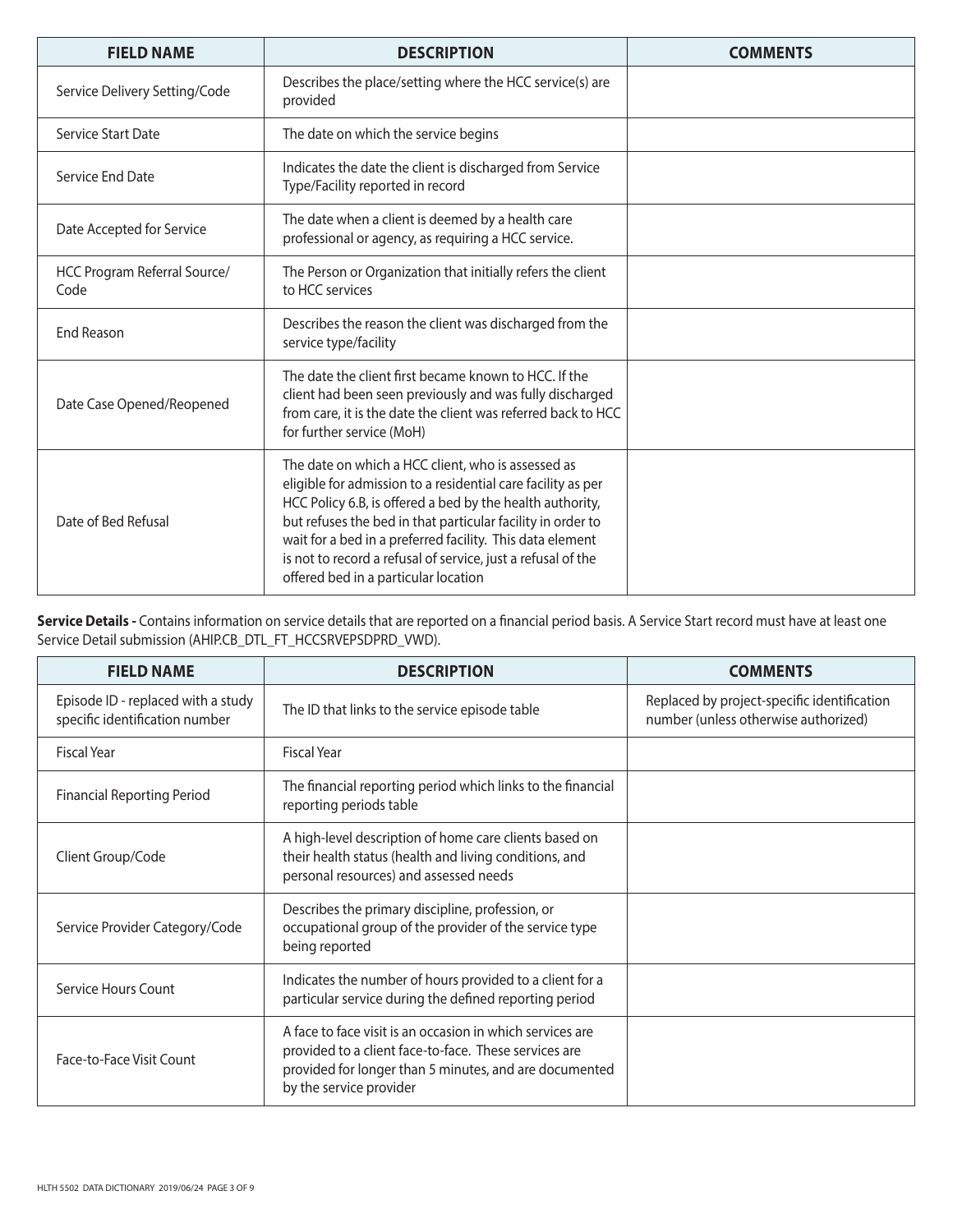| <b>FIELD NAME</b>                    | <b>DESCRIPTION</b>                                                                                                                                                                                                                                                                                                                                                                                                  | <b>COMMENTS</b> |
|--------------------------------------|---------------------------------------------------------------------------------------------------------------------------------------------------------------------------------------------------------------------------------------------------------------------------------------------------------------------------------------------------------------------------------------------------------------------|-----------------|
| Service Delivery Setting/Code        | Describes the place/setting where the HCC service(s) are<br>provided                                                                                                                                                                                                                                                                                                                                                |                 |
| Service Start Date                   | The date on which the service begins                                                                                                                                                                                                                                                                                                                                                                                |                 |
| Service End Date                     | Indicates the date the client is discharged from Service<br>Type/Facility reported in record                                                                                                                                                                                                                                                                                                                        |                 |
| Date Accepted for Service            | The date when a client is deemed by a health care<br>professional or agency, as requiring a HCC service.                                                                                                                                                                                                                                                                                                            |                 |
| HCC Program Referral Source/<br>Code | The Person or Organization that initially refers the client<br>to HCC services                                                                                                                                                                                                                                                                                                                                      |                 |
| End Reason                           | Describes the reason the client was discharged from the<br>service type/facility                                                                                                                                                                                                                                                                                                                                    |                 |
| Date Case Opened/Reopened            | The date the client first became known to HCC. If the<br>client had been seen previously and was fully discharged<br>from care, it is the date the client was referred back to HCC<br>for further service (MoH)                                                                                                                                                                                                     |                 |
| Date of Bed Refusal                  | The date on which a HCC client, who is assessed as<br>eligible for admission to a residential care facility as per<br>HCC Policy 6.B, is offered a bed by the health authority,<br>but refuses the bed in that particular facility in order to<br>wait for a bed in a preferred facility. This data element<br>is not to record a refusal of service, just a refusal of the<br>offered bed in a particular location |                 |

Service Details - Contains information on service details that are reported on a financial period basis. A Service Start record must have at least one Service Detail submission (AHIP.CB\_DTL\_FT\_HCCSRVEPSDPRD\_VWD).

| <b>FIELD NAME</b>                                                    | <b>DESCRIPTION</b>                                                                                                                                                                                      | <b>COMMENTS</b>                                                                     |
|----------------------------------------------------------------------|---------------------------------------------------------------------------------------------------------------------------------------------------------------------------------------------------------|-------------------------------------------------------------------------------------|
| Episode ID - replaced with a study<br>specific identification number | The ID that links to the service episode table                                                                                                                                                          | Replaced by project-specific identification<br>number (unless otherwise authorized) |
| Fiscal Year                                                          | <b>Fiscal Year</b>                                                                                                                                                                                      |                                                                                     |
| <b>Financial Reporting Period</b>                                    | The financial reporting period which links to the financial<br>reporting periods table                                                                                                                  |                                                                                     |
| Client Group/Code                                                    | A high-level description of home care clients based on<br>their health status (health and living conditions, and<br>personal resources) and assessed needs                                              |                                                                                     |
| Service Provider Category/Code                                       | Describes the primary discipline, profession, or<br>occupational group of the provider of the service type<br>being reported                                                                            |                                                                                     |
| Service Hours Count                                                  | Indicates the number of hours provided to a client for a<br>particular service during the defined reporting period                                                                                      |                                                                                     |
| Face-to-Face Visit Count                                             | A face to face visit is an occasion in which services are<br>provided to a client face-to-face. These services are<br>provided for longer than 5 minutes, and are documented<br>by the service provider |                                                                                     |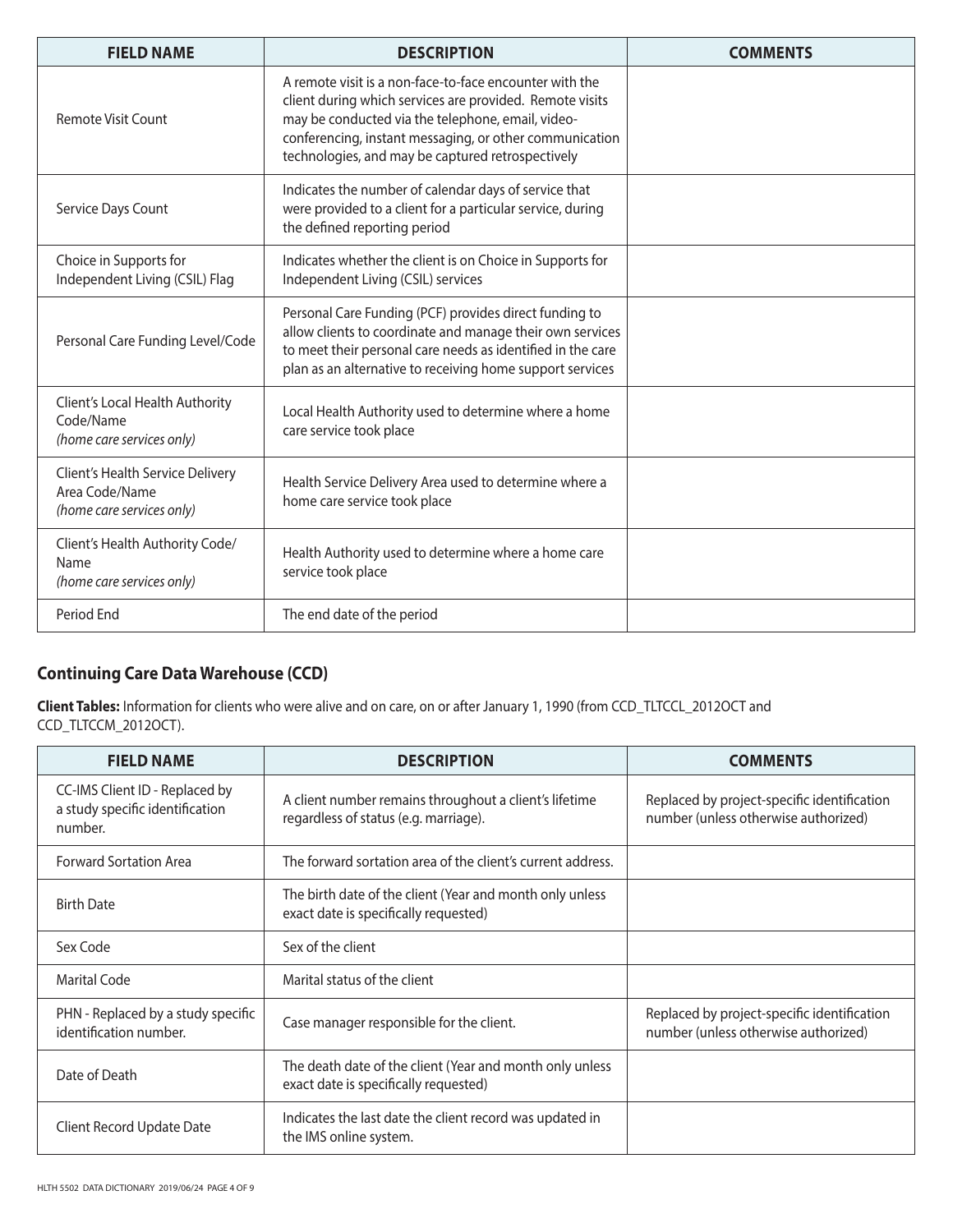| <b>FIELD NAME</b>                                                               | <b>DESCRIPTION</b>                                                                                                                                                                                                                                                                       | <b>COMMENTS</b> |
|---------------------------------------------------------------------------------|------------------------------------------------------------------------------------------------------------------------------------------------------------------------------------------------------------------------------------------------------------------------------------------|-----------------|
| Remote Visit Count                                                              | A remote visit is a non-face-to-face encounter with the<br>client during which services are provided. Remote visits<br>may be conducted via the telephone, email, video-<br>conferencing, instant messaging, or other communication<br>technologies, and may be captured retrospectively |                 |
| Service Days Count                                                              | Indicates the number of calendar days of service that<br>were provided to a client for a particular service, during<br>the defined reporting period                                                                                                                                      |                 |
| Choice in Supports for<br>Independent Living (CSIL) Flag                        | Indicates whether the client is on Choice in Supports for<br>Independent Living (CSIL) services                                                                                                                                                                                          |                 |
| Personal Care Funding Level/Code                                                | Personal Care Funding (PCF) provides direct funding to<br>allow clients to coordinate and manage their own services<br>to meet their personal care needs as identified in the care<br>plan as an alternative to receiving home support services                                          |                 |
| Client's Local Health Authority<br>Code/Name<br>(home care services only)       | Local Health Authority used to determine where a home<br>care service took place                                                                                                                                                                                                         |                 |
| Client's Health Service Delivery<br>Area Code/Name<br>(home care services only) | Health Service Delivery Area used to determine where a<br>home care service took place                                                                                                                                                                                                   |                 |
| Client's Health Authority Code/<br>Name<br>(home care services only)            | Health Authority used to determine where a home care<br>service took place                                                                                                                                                                                                               |                 |
| Period End                                                                      | The end date of the period                                                                                                                                                                                                                                                               |                 |

## **Continuing Care Data Warehouse (CCD)**

**Client Tables:** Information for clients who were alive and on care, on or after January 1, 1990 (from CCD\_TLTCCL\_2012OCT and CCD\_TLTCCM\_2012OCT).

| <b>FIELD NAME</b>                                                            | <b>DESCRIPTION</b>                                                                                | <b>COMMENTS</b>                                                                     |
|------------------------------------------------------------------------------|---------------------------------------------------------------------------------------------------|-------------------------------------------------------------------------------------|
| CC-IMS Client ID - Replaced by<br>a study specific identification<br>number. | A client number remains throughout a client's lifetime<br>regardless of status (e.g. marriage).   | Replaced by project-specific identification<br>number (unless otherwise authorized) |
| <b>Forward Sortation Area</b>                                                | The forward sortation area of the client's current address.                                       |                                                                                     |
| <b>Birth Date</b>                                                            | The birth date of the client (Year and month only unless<br>exact date is specifically requested) |                                                                                     |
| Sex Code                                                                     | Sex of the client                                                                                 |                                                                                     |
| Marital Code                                                                 | Marital status of the client                                                                      |                                                                                     |
| PHN - Replaced by a study specific<br>identification number.                 | Case manager responsible for the client.                                                          | Replaced by project-specific identification<br>number (unless otherwise authorized) |
| Date of Death                                                                | The death date of the client (Year and month only unless<br>exact date is specifically requested) |                                                                                     |
| Client Record Update Date                                                    | Indicates the last date the client record was updated in<br>the IMS online system.                |                                                                                     |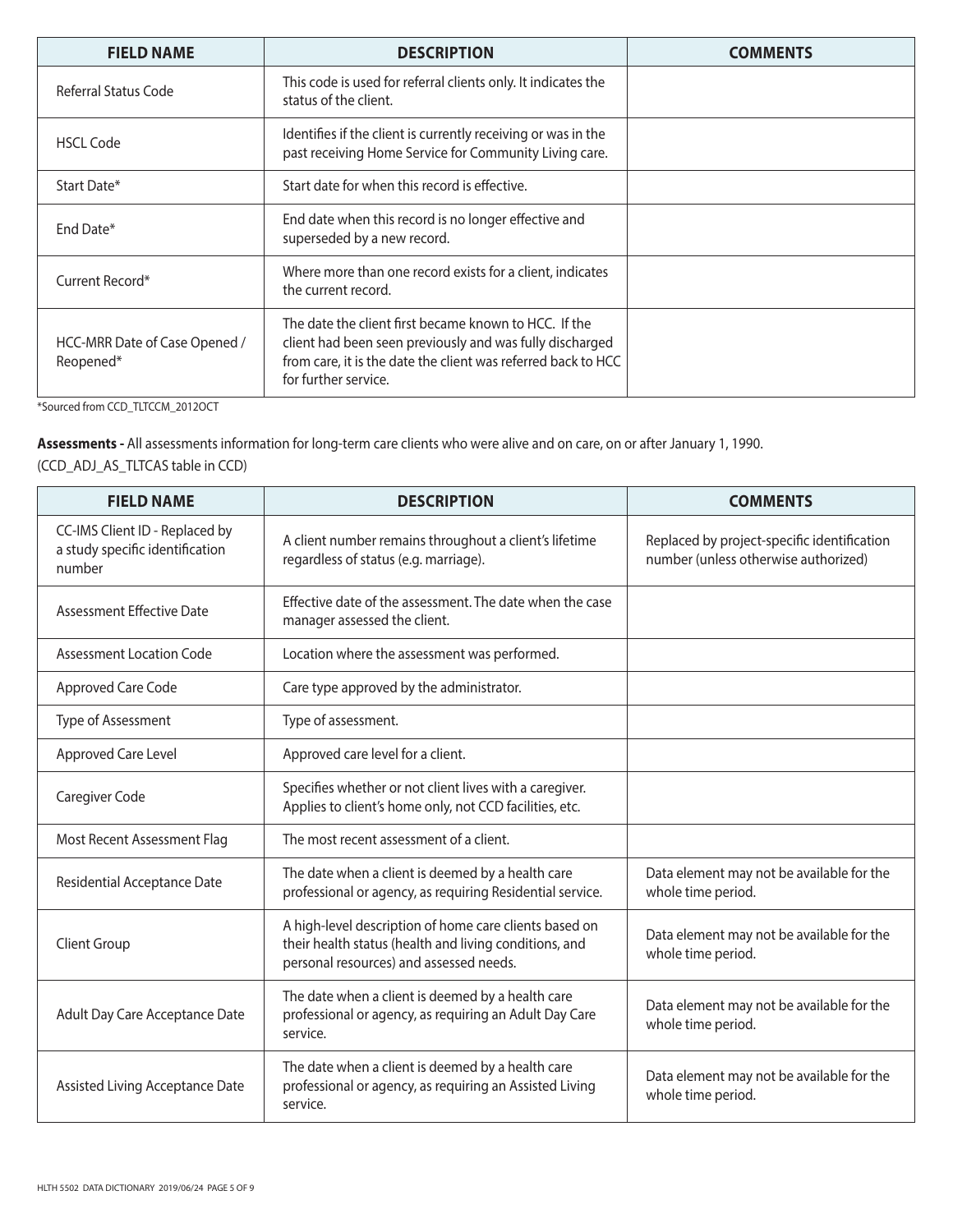| <b>FIELD NAME</b>                          | <b>DESCRIPTION</b>                                                                                                                                                                                         | <b>COMMENTS</b> |
|--------------------------------------------|------------------------------------------------------------------------------------------------------------------------------------------------------------------------------------------------------------|-----------------|
| Referral Status Code                       | This code is used for referral clients only. It indicates the<br>status of the client.                                                                                                                     |                 |
| <b>HSCL Code</b>                           | Identifies if the client is currently receiving or was in the<br>past receiving Home Service for Community Living care.                                                                                    |                 |
| Start Date*                                | Start date for when this record is effective.                                                                                                                                                              |                 |
| End Date*                                  | End date when this record is no longer effective and<br>superseded by a new record.                                                                                                                        |                 |
| Current Record*                            | Where more than one record exists for a client, indicates<br>the current record.                                                                                                                           |                 |
| HCC-MRR Date of Case Opened /<br>Reopened* | The date the client first became known to HCC. If the<br>client had been seen previously and was fully discharged<br>from care, it is the date the client was referred back to HCC<br>for further service. |                 |

\*Sourced from CCD\_TLTCCM\_2012OCT

**Assessments -** All assessments information for long-term care clients who were alive and on care, on or after January 1, 1990. (CCD\_ADJ\_AS\_TLTCAS table in CCD)

| <b>FIELD NAME</b>                                                           | <b>DESCRIPTION</b>                                                                                                                                          | <b>COMMENTS</b>                                                                     |
|-----------------------------------------------------------------------------|-------------------------------------------------------------------------------------------------------------------------------------------------------------|-------------------------------------------------------------------------------------|
| CC-IMS Client ID - Replaced by<br>a study specific identification<br>number | A client number remains throughout a client's lifetime<br>regardless of status (e.g. marriage).                                                             | Replaced by project-specific identification<br>number (unless otherwise authorized) |
| <b>Assessment Effective Date</b>                                            | Effective date of the assessment. The date when the case<br>manager assessed the client.                                                                    |                                                                                     |
| Assessment Location Code                                                    | Location where the assessment was performed.                                                                                                                |                                                                                     |
| Approved Care Code                                                          | Care type approved by the administrator.                                                                                                                    |                                                                                     |
| Type of Assessment                                                          | Type of assessment.                                                                                                                                         |                                                                                     |
| Approved Care Level                                                         | Approved care level for a client.                                                                                                                           |                                                                                     |
| Caregiver Code                                                              | Specifies whether or not client lives with a caregiver.<br>Applies to client's home only, not CCD facilities, etc.                                          |                                                                                     |
| Most Recent Assessment Flag                                                 | The most recent assessment of a client.                                                                                                                     |                                                                                     |
| Residential Acceptance Date                                                 | The date when a client is deemed by a health care<br>professional or agency, as requiring Residential service.                                              | Data element may not be available for the<br>whole time period.                     |
| <b>Client Group</b>                                                         | A high-level description of home care clients based on<br>their health status (health and living conditions, and<br>personal resources) and assessed needs. | Data element may not be available for the<br>whole time period.                     |
| Adult Day Care Acceptance Date                                              | The date when a client is deemed by a health care<br>professional or agency, as requiring an Adult Day Care<br>service.                                     | Data element may not be available for the<br>whole time period.                     |
| Assisted Living Acceptance Date                                             | The date when a client is deemed by a health care<br>professional or agency, as requiring an Assisted Living<br>service.                                    | Data element may not be available for the<br>whole time period.                     |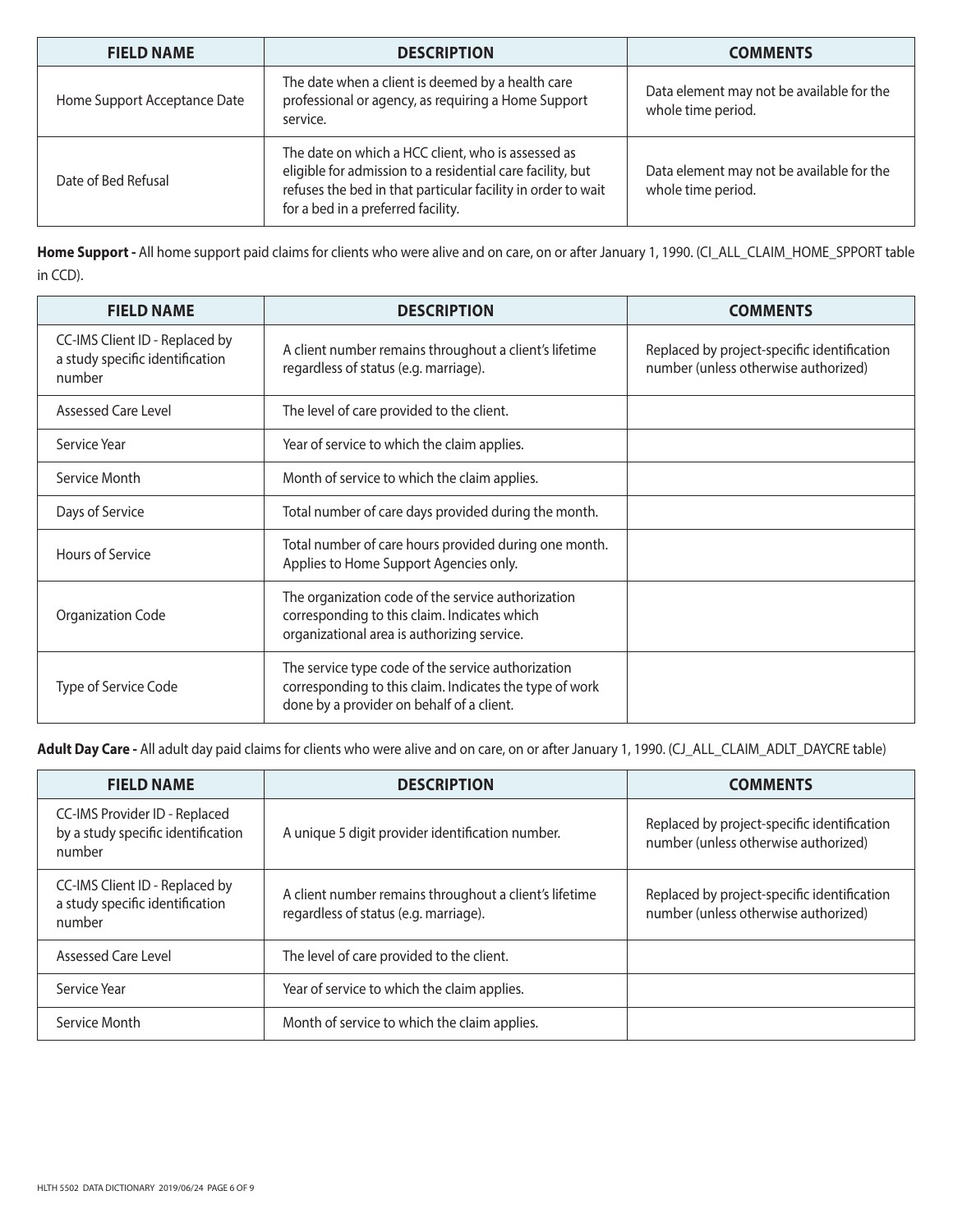| <b>FIELD NAME</b>            | <b>DESCRIPTION</b>                                                                                                                                                                                                     | <b>COMMENTS</b>                                                 |
|------------------------------|------------------------------------------------------------------------------------------------------------------------------------------------------------------------------------------------------------------------|-----------------------------------------------------------------|
| Home Support Acceptance Date | The date when a client is deemed by a health care<br>professional or agency, as requiring a Home Support<br>service.                                                                                                   | Data element may not be available for the<br>whole time period. |
| Date of Bed Refusal          | The date on which a HCC client, who is assessed as<br>eligible for admission to a residential care facility, but<br>refuses the bed in that particular facility in order to wait<br>for a bed in a preferred facility. | Data element may not be available for the<br>whole time period. |

**Home Support -** All home support paid claims for clients who were alive and on care, on or after January 1, 1990. (CI\_ALL\_CLAIM\_HOME\_SPPORT table in CCD).

| <b>FIELD NAME</b>                                                           | <b>DESCRIPTION</b>                                                                                                                                         | <b>COMMENTS</b>                                                                     |
|-----------------------------------------------------------------------------|------------------------------------------------------------------------------------------------------------------------------------------------------------|-------------------------------------------------------------------------------------|
| CC-IMS Client ID - Replaced by<br>a study specific identification<br>number | A client number remains throughout a client's lifetime<br>regardless of status (e.g. marriage).                                                            | Replaced by project-specific identification<br>number (unless otherwise authorized) |
| <b>Assessed Care Level</b>                                                  | The level of care provided to the client.                                                                                                                  |                                                                                     |
| Service Year                                                                | Year of service to which the claim applies.                                                                                                                |                                                                                     |
| Service Month                                                               | Month of service to which the claim applies.                                                                                                               |                                                                                     |
| Days of Service                                                             | Total number of care days provided during the month.                                                                                                       |                                                                                     |
| Hours of Service                                                            | Total number of care hours provided during one month.<br>Applies to Home Support Agencies only.                                                            |                                                                                     |
| Organization Code                                                           | The organization code of the service authorization<br>corresponding to this claim. Indicates which<br>organizational area is authorizing service.          |                                                                                     |
| Type of Service Code                                                        | The service type code of the service authorization<br>corresponding to this claim. Indicates the type of work<br>done by a provider on behalf of a client. |                                                                                     |

**Adult Day Care -** All adult day paid claims for clients who were alive and on care, on or after January 1, 1990. (CJ\_ALL\_CLAIM\_ADLT\_DAYCRE table)

| <b>FIELD NAME</b>                                                             | <b>DESCRIPTION</b>                                                                              | <b>COMMENTS</b>                                                                     |
|-------------------------------------------------------------------------------|-------------------------------------------------------------------------------------------------|-------------------------------------------------------------------------------------|
| CC-IMS Provider ID - Replaced<br>by a study specific identification<br>number | A unique 5 digit provider identification number.                                                | Replaced by project-specific identification<br>number (unless otherwise authorized) |
| CC-IMS Client ID - Replaced by<br>a study specific identification<br>number   | A client number remains throughout a client's lifetime<br>regardless of status (e.g. marriage). | Replaced by project-specific identification<br>number (unless otherwise authorized) |
| Assessed Care Level                                                           | The level of care provided to the client.                                                       |                                                                                     |
| Service Year                                                                  | Year of service to which the claim applies.                                                     |                                                                                     |
| Service Month                                                                 | Month of service to which the claim applies.                                                    |                                                                                     |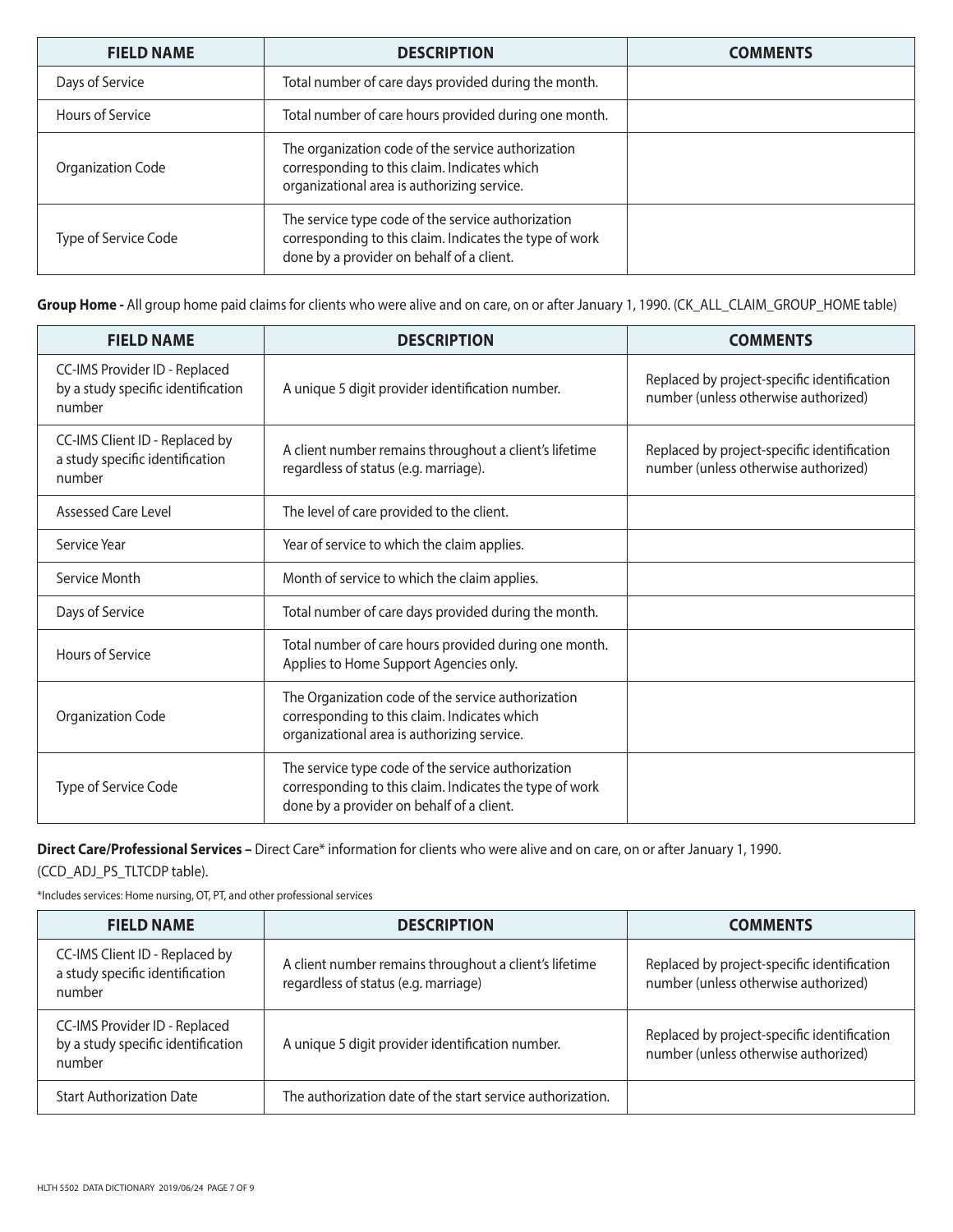| <b>FIELD NAME</b>    | <b>DESCRIPTION</b>                                                                                                                                         | <b>COMMENTS</b> |
|----------------------|------------------------------------------------------------------------------------------------------------------------------------------------------------|-----------------|
| Days of Service      | Total number of care days provided during the month.                                                                                                       |                 |
| Hours of Service     | Total number of care hours provided during one month.                                                                                                      |                 |
| Organization Code    | The organization code of the service authorization<br>corresponding to this claim. Indicates which<br>organizational area is authorizing service.          |                 |
| Type of Service Code | The service type code of the service authorization<br>corresponding to this claim. Indicates the type of work<br>done by a provider on behalf of a client. |                 |

**Group Home -** All group home paid claims for clients who were alive and on care, on or after January 1, 1990. (CK\_ALL\_CLAIM\_GROUP\_HOME table)

| <b>FIELD NAME</b>                                                             | <b>DESCRIPTION</b>                                                                                                                                         | <b>COMMENTS</b>                                                                     |
|-------------------------------------------------------------------------------|------------------------------------------------------------------------------------------------------------------------------------------------------------|-------------------------------------------------------------------------------------|
| CC-IMS Provider ID - Replaced<br>by a study specific identification<br>number | A unique 5 digit provider identification number.                                                                                                           | Replaced by project-specific identification<br>number (unless otherwise authorized) |
| CC-IMS Client ID - Replaced by<br>a study specific identification<br>number   | A client number remains throughout a client's lifetime<br>regardless of status (e.g. marriage).                                                            | Replaced by project-specific identification<br>number (unless otherwise authorized) |
| Assessed Care Level                                                           | The level of care provided to the client.                                                                                                                  |                                                                                     |
| Service Year                                                                  | Year of service to which the claim applies.                                                                                                                |                                                                                     |
| Service Month                                                                 | Month of service to which the claim applies.                                                                                                               |                                                                                     |
| Days of Service                                                               | Total number of care days provided during the month.                                                                                                       |                                                                                     |
| Hours of Service                                                              | Total number of care hours provided during one month.<br>Applies to Home Support Agencies only.                                                            |                                                                                     |
| <b>Organization Code</b>                                                      | The Organization code of the service authorization<br>corresponding to this claim. Indicates which<br>organizational area is authorizing service.          |                                                                                     |
| Type of Service Code                                                          | The service type code of the service authorization<br>corresponding to this claim. Indicates the type of work<br>done by a provider on behalf of a client. |                                                                                     |

**Direct Care/Professional Services –** Direct Care\* information for clients who were alive and on care, on or after January 1, 1990.

(CCD\_ADJ\_PS\_TLTCDP table).

\*Includes services: Home nursing, OT, PT, and other professional services

| <b>FIELD NAME</b>                                                             | <b>DESCRIPTION</b>                                                                             | <b>COMMENTS</b>                                                                     |
|-------------------------------------------------------------------------------|------------------------------------------------------------------------------------------------|-------------------------------------------------------------------------------------|
| CC-IMS Client ID - Replaced by<br>a study specific identification<br>number   | A client number remains throughout a client's lifetime<br>regardless of status (e.g. marriage) | Replaced by project-specific identification<br>number (unless otherwise authorized) |
| CC-IMS Provider ID - Replaced<br>by a study specific identification<br>number | A unique 5 digit provider identification number.                                               | Replaced by project-specific identification<br>number (unless otherwise authorized) |
| <b>Start Authorization Date</b>                                               | The authorization date of the start service authorization.                                     |                                                                                     |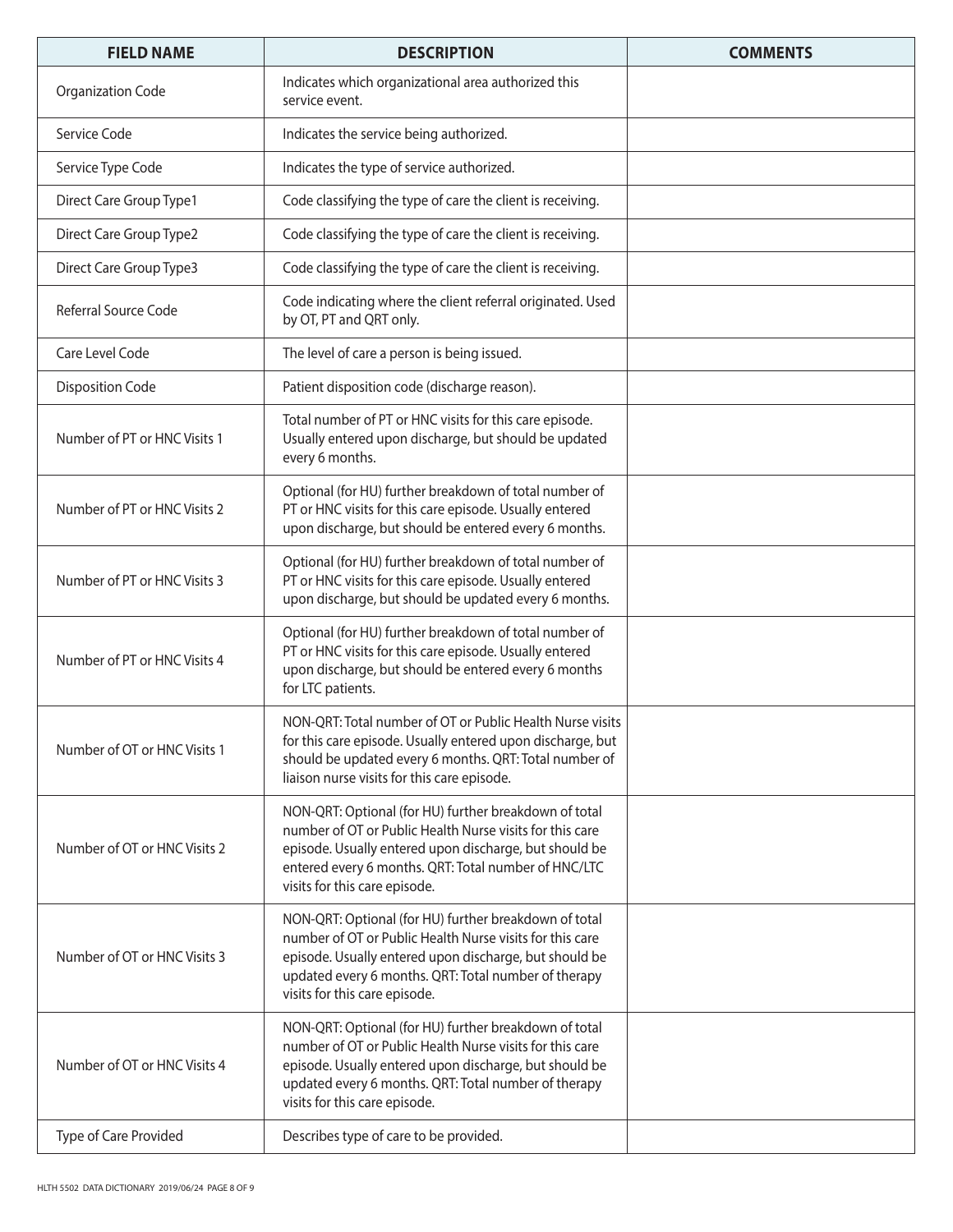| <b>FIELD NAME</b>            | <b>DESCRIPTION</b>                                                                                                                                                                                                                                                   | <b>COMMENTS</b> |
|------------------------------|----------------------------------------------------------------------------------------------------------------------------------------------------------------------------------------------------------------------------------------------------------------------|-----------------|
| <b>Organization Code</b>     | Indicates which organizational area authorized this<br>service event.                                                                                                                                                                                                |                 |
| Service Code                 | Indicates the service being authorized.                                                                                                                                                                                                                              |                 |
| Service Type Code            | Indicates the type of service authorized.                                                                                                                                                                                                                            |                 |
| Direct Care Group Type1      | Code classifying the type of care the client is receiving.                                                                                                                                                                                                           |                 |
| Direct Care Group Type2      | Code classifying the type of care the client is receiving.                                                                                                                                                                                                           |                 |
| Direct Care Group Type3      | Code classifying the type of care the client is receiving.                                                                                                                                                                                                           |                 |
| Referral Source Code         | Code indicating where the client referral originated. Used<br>by OT, PT and QRT only.                                                                                                                                                                                |                 |
| Care Level Code              | The level of care a person is being issued.                                                                                                                                                                                                                          |                 |
| <b>Disposition Code</b>      | Patient disposition code (discharge reason).                                                                                                                                                                                                                         |                 |
| Number of PT or HNC Visits 1 | Total number of PT or HNC visits for this care episode.<br>Usually entered upon discharge, but should be updated<br>every 6 months.                                                                                                                                  |                 |
| Number of PT or HNC Visits 2 | Optional (for HU) further breakdown of total number of<br>PT or HNC visits for this care episode. Usually entered<br>upon discharge, but should be entered every 6 months.                                                                                           |                 |
| Number of PT or HNC Visits 3 | Optional (for HU) further breakdown of total number of<br>PT or HNC visits for this care episode. Usually entered<br>upon discharge, but should be updated every 6 months.                                                                                           |                 |
| Number of PT or HNC Visits 4 | Optional (for HU) further breakdown of total number of<br>PT or HNC visits for this care episode. Usually entered<br>upon discharge, but should be entered every 6 months<br>for LTC patients.                                                                       |                 |
| Number of OT or HNC Visits 1 | NON-QRT: Total number of OT or Public Health Nurse visits<br>for this care episode. Usually entered upon discharge, but<br>should be updated every 6 months. QRT: Total number of<br>liaison nurse visits for this care episode.                                     |                 |
| Number of OT or HNC Visits 2 | NON-QRT: Optional (for HU) further breakdown of total<br>number of OT or Public Health Nurse visits for this care<br>episode. Usually entered upon discharge, but should be<br>entered every 6 months. QRT: Total number of HNC/LTC<br>visits for this care episode. |                 |
| Number of OT or HNC Visits 3 | NON-QRT: Optional (for HU) further breakdown of total<br>number of OT or Public Health Nurse visits for this care<br>episode. Usually entered upon discharge, but should be<br>updated every 6 months. QRT: Total number of therapy<br>visits for this care episode. |                 |
| Number of OT or HNC Visits 4 | NON-QRT: Optional (for HU) further breakdown of total<br>number of OT or Public Health Nurse visits for this care<br>episode. Usually entered upon discharge, but should be<br>updated every 6 months. QRT: Total number of therapy<br>visits for this care episode. |                 |
| Type of Care Provided        | Describes type of care to be provided.                                                                                                                                                                                                                               |                 |